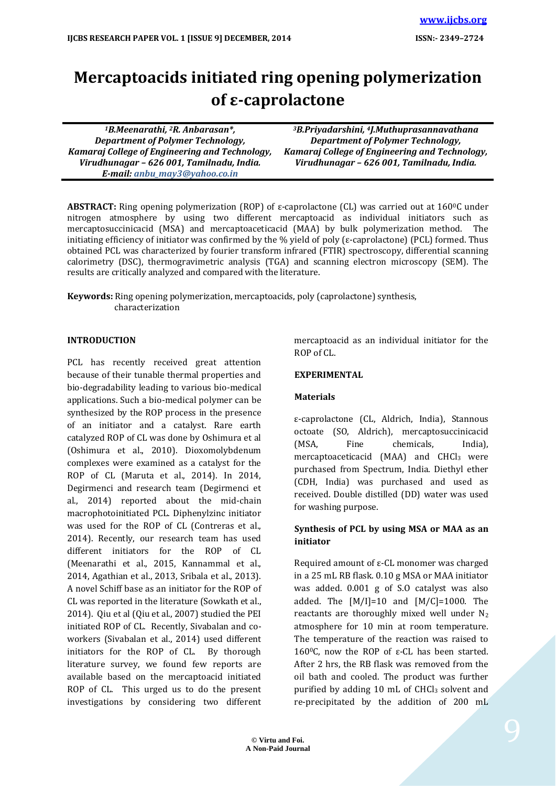# **Mercaptoacids initiated ring opening polymerization of ε-caprolactone**

*<sup>1</sup>B.Meenarathi, 2R. Anbarasan\*, Department of Polymer Technology, Kamaraj College of Engineering and Technology, Virudhunagar – 626 001, Tamilnadu, India. E-mail[: anbu\\_may3@yahoo.co.in](mailto:anbu_may3@yahoo.co.in)*

*<sup>3</sup>B.Priyadarshini, 4J.Muthuprasannavathana Department of Polymer Technology, Kamaraj College of Engineering and Technology, Virudhunagar – 626 001, Tamilnadu, India.*

**ABSTRACT:** Ring opening polymerization (ROP) of ε-caprolactone (CL) was carried out at 1600C under nitrogen atmosphere by using two different mercaptoacid as individual initiators such as mercaptosuccinicacid (MSA) and mercaptoaceticacid (MAA) by bulk polymerization method. The initiating efficiency of initiator was confirmed by the % yield of poly (ε-caprolactone) (PCL) formed. Thus obtained PCL was characterized by fourier transform infrared (FTIR) spectroscopy, differential scanning calorimetry (DSC), thermogravimetric analysis (TGA) and scanning electron microscopy (SEM). The results are critically analyzed and compared with the literature.

**Keywords:** Ring opening polymerization, mercaptoacids, poly (caprolactone) synthesis, characterization

### **INTRODUCTION**

PCL has recently received great attention because of their tunable thermal properties and bio-degradability leading to various bio-medical applications. Such a bio-medical polymer can be synthesized by the ROP process in the presence of an initiator and a catalyst. Rare earth catalyzed ROP of CL was done by Oshimura et al (Oshimura et al., 2010). Dioxomolybdenum complexes were examined as a catalyst for the ROP of CL (Maruta et al., 2014). In 2014, Degirmenci and research team (Degirmenci et al., 2014) reported about the mid-chain macrophotoinitiated PCL. Diphenylzinc initiator was used for the ROP of CL (Contreras et al., 2014). Recently, our research team has used different initiators for the ROP of CL (Meenarathi et al., 2015, Kannammal et al., 2014, Agathian et al., 2013, Sribala et al., 2013). A novel Schiff base as an initiator for the ROP of CL was reported in the literature (Sowkath et al., 2014). Qiu et al (Qiu et al., 2007) studied the PEI initiated ROP of CL. Recently, Sivabalan and coworkers (Sivabalan et al., 2014) used different initiators for the ROP of CL. By thorough literature survey, we found few reports are available based on the mercaptoacid initiated ROP of CL. This urged us to do the present investigations by considering two different

mercaptoacid as an individual initiator for the ROP of CL.

#### **EXPERIMENTAL**

#### **Materials**

ε-caprolactone (CL, Aldrich, India), Stannous octoate (SO, Aldrich), mercaptosuccinicacid (MSA, Fine chemicals, India), mercaptoaceticacid (MAA) and  $CHCl<sub>3</sub>$  were purchased from Spectrum, India. Diethyl ether (CDH, India) was purchased and used as received. Double distilled (DD) water was used for washing purpose.

### **Synthesis of PCL by using MSA or MAA as an initiator**

Required amount of ε-CL monomer was charged in a 25 mL RB flask. 0.10 g MSA or MAA initiator was added. 0.001 g of S.O catalyst was also added. The  $[M/I]=10$  and  $[M/C]=1000$ . The reactants are thoroughly mixed well under  $N_2$ atmosphere for 10 min at room temperature. The temperature of the reaction was raised to 160<sup>o</sup>C, now the ROP of ε-CL has been started. After 2 hrs, the RB flask was removed from the oil bath and cooled. The product was further purified by adding  $10$  mL of CHCl<sub>3</sub> solvent and re-precipitated by the addition of 200 mL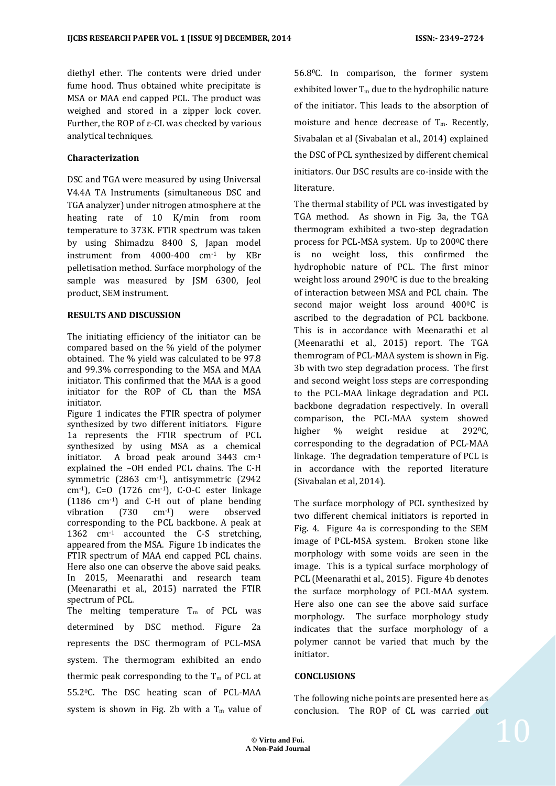diethyl ether. The contents were dried under fume hood. Thus obtained white precipitate is MSA or MAA end capped PCL. The product was weighed and stored in a zipper lock cover. Further, the ROP of  $\varepsilon$ -CL was checked by various analytical techniques.

# **Characterization**

DSC and TGA were measured by using Universal V4.4A TA Instruments (simultaneous DSC and TGA analyzer) under nitrogen atmosphere at the heating rate of 10 K/min from room temperature to 373K. FTIR spectrum was taken by using Shimadzu 8400 S, Japan model instrument from 4000-400 cm-1 by KBr pelletisation method. Surface morphology of the sample was measured by JSM 6300, Jeol product, SEM instrument.

### **RESULTS AND DISCUSSION**

The initiating efficiency of the initiator can be compared based on the % yield of the polymer obtained. The % yield was calculated to be 97.8 and 99.3% corresponding to the MSA and MAA initiator. This confirmed that the MAA is a good initiator for the ROP of CL than the MSA initiator.

Figure 1 indicates the FTIR spectra of polymer synthesized by two different initiators. Figure 1a represents the FTIR spectrum of PCL synthesized by using MSA as a chemical initiator. A broad peak around 3443 cm-1 explained the –OH ended PCL chains. The C-H symmetric (2863 cm-1), antisymmetric (2942 cm<sup>-1</sup>), C=O (1726 cm<sup>-1</sup>), C-O-C ester linkage (1186 cm-1) and C-H out of plane bending vibration (730 cm-1) were observed corresponding to the PCL backbone. A peak at 1362 cm-1 accounted the C-S stretching, appeared from the MSA. Figure 1b indicates the FTIR spectrum of MAA end capped PCL chains. Here also one can observe the above said peaks. In 2015, Meenarathi and research team (Meenarathi et al., 2015) narrated the FTIR spectrum of PCL.

The melting temperature  $T_m$  of PCL was determined by DSC method. Figure 2a represents the DSC thermogram of PCL-MSA system. The thermogram exhibited an endo thermic peak corresponding to the  $T_m$  of PCL at 55.20C. The DSC heating scan of PCL-MAA system is shown in Fig. 2b with a  $T_m$  value of 56.80C. In comparison, the former system exhibited lower  $T_m$  due to the hydrophilic nature of the initiator. This leads to the absorption of moisture and hence decrease of  $T_m$ . Recently, Sivabalan et al (Sivabalan et al., 2014) explained the DSC of PCL synthesized by different chemical initiators. Our DSC results are co-inside with the literature.

The thermal stability of PCL was investigated by TGA method. As shown in Fig. 3a, the TGA thermogram exhibited a two-step degradation process for PCL-MSA system. Up to 2000C there is no weight loss, this confirmed the hydrophobic nature of PCL. The first minor weight loss around  $290^{\circ}$ C is due to the breaking of interaction between MSA and PCL chain. The second major weight loss around 400°C is ascribed to the degradation of PCL backbone. This is in accordance with Meenarathi et al (Meenarathi et al., 2015) report. The TGA themrogram of PCL-MAA system is shown in Fig. 3b with two step degradation process. The first and second weight loss steps are corresponding to the PCL-MAA linkage degradation and PCL backbone degradation respectively. In overall comparison, the PCL-MAA system showed higher % weight residue at 292<sup>o</sup>C, corresponding to the degradation of PCL-MAA linkage. The degradation temperature of PCL is in accordance with the reported literature (Sivabalan et al, 2014).

The surface morphology of PCL synthesized by two different chemical initiators is reported in Fig. 4. Figure 4a is corresponding to the SEM image of PCL-MSA system. Broken stone like morphology with some voids are seen in the image. This is a typical surface morphology of PCL (Meenarathi et al., 2015). Figure 4b denotes the surface morphology of PCL-MAA system. Here also one can see the above said surface morphology. The surface morphology study indicates that the surface morphology of a polymer cannot be varied that much by the initiator.

### **CONCLUSIONS**

The following niche points are presented here as conclusion. The ROP of CL was carried out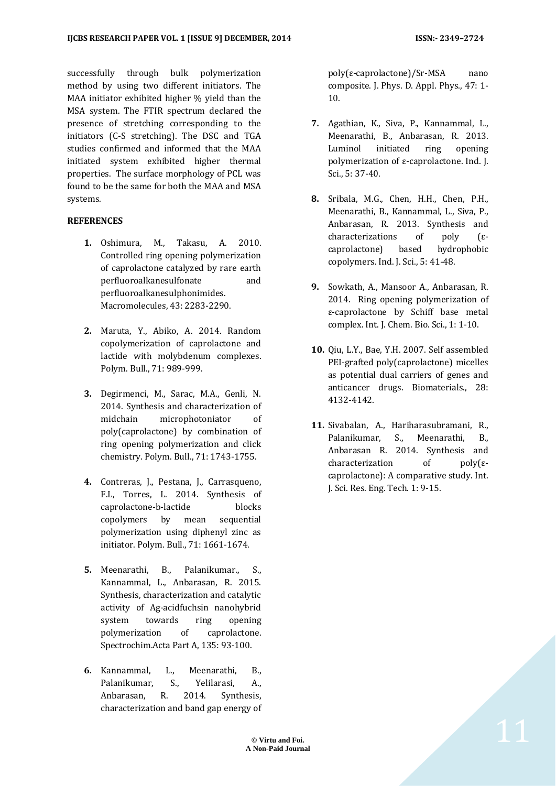successfully through bulk polymerization method by using two different initiators. The MAA initiator exhibited higher % yield than the MSA system. The FTIR spectrum declared the presence of stretching corresponding to the initiators (C-S stretching). The DSC and TGA studies confirmed and informed that the MAA initiated system exhibited higher thermal properties. The surface morphology of PCL was found to be the same for both the MAA and MSA systems.

# **REFERENCES**

- **1.** Oshimura, M., Takasu, A. 2010. Controlled ring opening polymerization of caprolactone catalyzed by rare earth perfluoroalkanesulfonate and perfluoroalkanesulphonimides. Macromolecules, 43: 2283-2290.
- **2.** Maruta, Y., Abiko, A. 2014. Random copolymerization of caprolactone and lactide with molybdenum complexes. Polym. Bull., 71: 989-999.
- **3.** Degirmenci, M., Sarac, M.A., Genli, N. 2014. Synthesis and characterization of midchain microphotoniator of poly(caprolactone) by combination of ring opening polymerization and click chemistry. Polym. Bull., 71: 1743-1755.
- **4.** Contreras, J., Pestana, J., Carrasqueno, F.L, Torres, L. 2014. Synthesis of caprolactone-b-lactide blocks copolymers by mean sequential polymerization using diphenyl zinc as initiator. Polym. Bull., 71: 1661-1674.
- **5.** Meenarathi, B., Palanikumar., S., Kannammal, L., Anbarasan, R. 2015. Synthesis, characterization and catalytic activity of Ag-acidfuchsin nanohybrid system towards ring opening polymerization of caprolactone. Spectrochim.Acta Part A, 135: 93-100.
- **6.** Kannammal, L., Meenarathi, B., Palanikumar, S., Yelilarasi, A., Anbarasan, R. 2014. Synthesis, characterization and band gap energy of

poly(ε-caprolactone)/Sr-MSA nano composite. J. Phys. D. Appl. Phys., 47: 1- 10.

- **7.** Agathian, K., Siva, P., Kannammal, L., Meenarathi, B., Anbarasan, R. 2013. Luminol initiated ring opening polymerization of ε-caprolactone. Ind. J. Sci., 5: 37-40.
- **8.** Sribala, M.G., Chen, H.H., Chen, P.H., Meenarathi, B., Kannammal, L., Siva, P., Anbarasan, R. 2013. Synthesis and characterizations of poly (εcaprolactone) based hydrophobic copolymers. Ind. J. Sci., 5: 41-48.
- **9.** Sowkath, A., Mansoor A., Anbarasan, R. 2014. Ring opening polymerization of ε-caprolactone by Schiff base metal complex. Int. J. Chem. Bio. Sci., 1: 1-10.
- **10.** Qiu, L.Y., Bae, Y.H. 2007. Self assembled PEI-grafted poly(caprolactone) micelles as potential dual carriers of genes and anticancer drugs. Biomaterials., 28: 4132-4142.
- **11.** Sivabalan, A., Hariharasubramani, R., Palanikumar, S., Meenarathi, B., Anbarasan R. 2014. Synthesis and characterization of poly(εcaprolactone): A comparative study. Int. J. Sci. Res. Eng. Tech. 1: 9-15.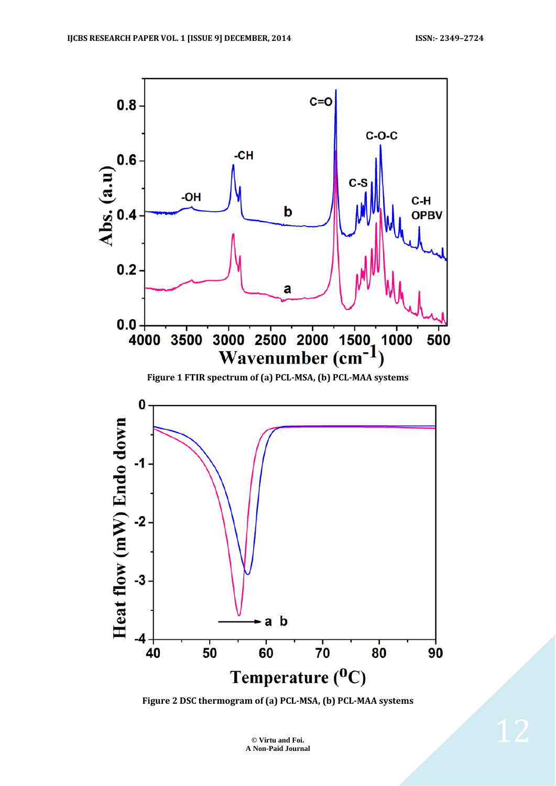

**Figure 2 DSC thermogram of (a) PCL-MSA, (b) PCL-MAA systems**

**© Virtu and Foi. A Non-Paid Journal**